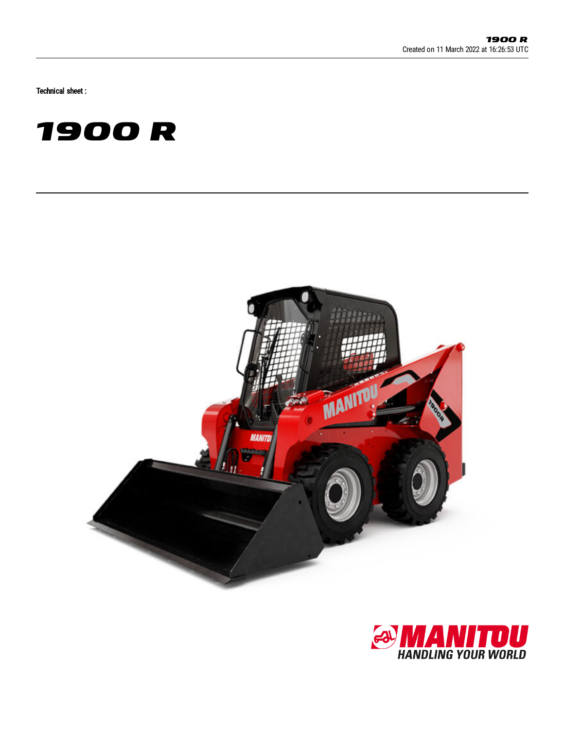Technical sheet :





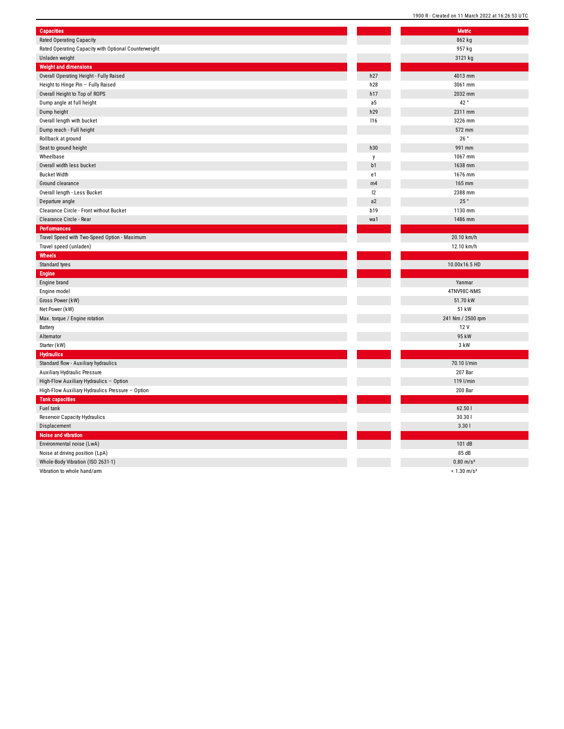| <b>Capacities</b>                                    |            | Metric       |
|------------------------------------------------------|------------|--------------|
| Rated Operating Capacity                             |            | 862 kg       |
| Rated Operating Capacity with Optional Counterweight |            | 957 kg       |
| Unladen weight                                       |            | 3121 kg      |
| <b>Weight and dimensions</b>                         |            |              |
| Overall Operating Height - Fully Raised              | h27        | 4013 mm      |
| Height to Hinge Pin - Fully Raised                   | h28        | 3061 mm      |
| Overall Height to Top of ROPS                        | h17        | 2032 mm      |
| Dump angle at full height                            | a5         | 42°          |
| Dump height                                          | h29        | 2311 mm      |
| Overall length with bucket                           | 116        | 3226 mm      |
| Dump reach - Full height                             |            | 572 mm       |
| Rollback at ground                                   |            | 26°          |
| Seat to ground height                                | h30        | 991 mm       |
| Wheelbase                                            | y          | 1067 mm      |
| Overall width less bucket                            | b1         | 1638 mm      |
| <b>Bucket Width</b>                                  | e1         | 1676 mm      |
| Ground clearance                                     | m4         | 165 mm       |
| Overall length - Less Bucket                         | 2          | 2388 mm      |
| Departure angle                                      | a2         | 25°          |
| Clearance Circle - Front without Bucket              | <b>b19</b> | 1130 mm      |
| Clearance Circle - Rear                              | wa1        | 1486 mm      |
| Performances                                         |            |              |
| Travel Speed with Two-Speed Option - Maximum         |            | 20.10 km/    |
| Travel speed (unladen)                               |            | 12.10 km/    |
| Wheels                                               |            |              |
| Standard tyres                                       |            | 10.00x16.5   |
| Engine                                               |            |              |
| Engine brand                                         |            | Yanmar       |
| Engine model                                         |            | 4TNV98C-N    |
| Gross Power (kW)                                     |            | 51.70 kW     |
| Net Power (kW)                                       |            | 51 kW        |
| Max. torque / Engine rotation                        |            | 241 Nm / 250 |
| Battery                                              |            | 12 V         |
| Alternator                                           |            | 95 kW        |
| Starter (kW)                                         |            | 3 kW         |
| <b>Hydraulics</b>                                    |            |              |
| Standard flow - Auxiliary hydraulics                 |            | 70.10 l/mi   |
| Auxiliary Hydraulic Pressure                         |            | 207 Bar      |
| High-Flow Auxiliary Hydraulics - Option              |            | 119 l/mir    |
| High-Flow Auxiliary Hydraulics Pressure - Option     |            | 200 Bar      |
| <b>Tank capacities</b>                               |            |              |
| Fuel tank                                            |            | 62.50 l      |
| Reservoir Capacity Hydraulics                        |            | 30.30        |
| Displacement                                         |            | 3.301        |
| <b>Noise and vibration</b>                           |            |              |
| Environmental noise (LwA)                            |            | 101 dB       |
| Noise at driving position (LpA)                      |            | 85 dB        |
| Whole-Body Vibration (ISO 2631-1)                    |            | $0.80$ m/s   |
| Vibration to whole hand/arm                          |            | $< 1.30$ m/s |
|                                                      |            |              |

| Metric                    |
|---------------------------|
| 862 kg                    |
| 957 kg                    |
| 3121 kg                   |
|                           |
| 4013 mm                   |
| 3061 mm                   |
| 2032 mm                   |
| 42°                       |
| 2311 mm                   |
| 3226 mm                   |
| 572 mm                    |
| 26°                       |
| 991 mm                    |
| 1067 mm                   |
| 1638 mm                   |
| 1676 mm                   |
| 165 mm                    |
| 2388 mm                   |
| 25 $^{\circ}$             |
| 1130 mm                   |
| 1486 mm                   |
|                           |
| 20.10 km/h                |
| 12.10 km/h                |
|                           |
|                           |
| 10.00x16.5 HD             |
|                           |
| Yanmar                    |
| 4TNV98C-NMS               |
| 51.70 kW                  |
| 51 kW                     |
| 241 Nm / 2500 rpm         |
| 12 V                      |
| 95 kW                     |
| 3 kW                      |
|                           |
| 70.10 l/min               |
| 207 Bar                   |
| 119 l/min                 |
| 200 Bar                   |
|                           |
| 62.50                     |
| 30.301                    |
| 3.301                     |
|                           |
| 101 dB                    |
| 85 dB                     |
| $0.80 \text{ m/s}^2$      |
| $< 1.30$ m/s <sup>2</sup> |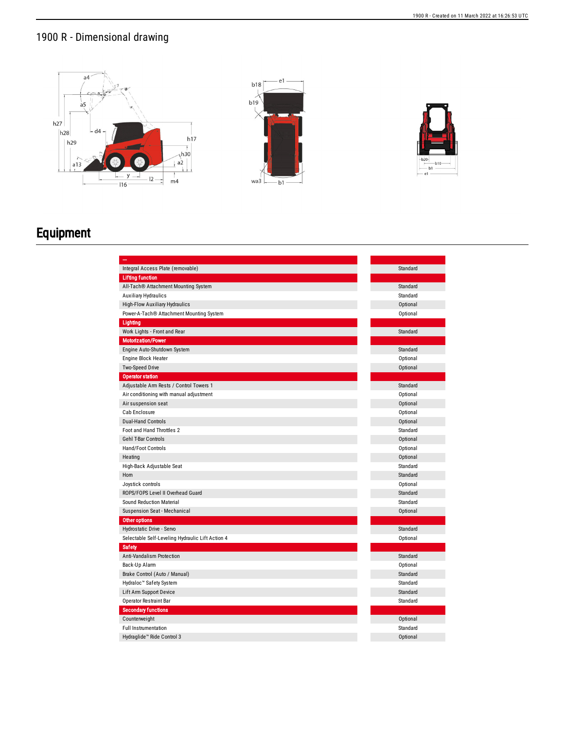## 1900 R - Dimensional drawing



## Equipment

| Integral Access Plate (removable)                | Standard |
|--------------------------------------------------|----------|
| <b>Lifting function</b>                          |          |
| All-Tach® Attachment Mounting System             | Standard |
| <b>Auxiliary Hydraulics</b>                      | Standard |
| <b>High-Flow Auxiliary Hydraulics</b>            | Optional |
| Power-A-Tach® Attachment Mounting System         | Optional |
| Lighting                                         |          |
| Work Lights - Front and Rear                     | Standard |
| <b>Motorization/Power</b>                        |          |
| Engine Auto-Shutdown System                      | Standard |
| Engine Block Heater                              | Optional |
| Two-Speed Drive                                  | Optional |
| <b>Operator station</b>                          |          |
| Adjustable Arm Rests / Control Towers 1          | Standard |
| Air conditioning with manual adjustment          | Optional |
| Air suspension seat                              | Optional |
| Cab Enclosure                                    | Optional |
| <b>Dual-Hand Controls</b>                        | Optional |
| Foot and Hand Throttles 2                        | Standard |
| <b>Gehl T-Bar Controls</b>                       | Optional |
| Hand/Foot Controls                               | Optional |
| Heating                                          | Optional |
| High-Back Adjustable Seat                        | Standard |
| Horn                                             | Standard |
| Joystick controls                                | Optional |
| ROPS/FOPS Level II Overhead Guard                | Standard |
| <b>Sound Reduction Material</b>                  | Standard |
| Suspension Seat - Mechanical                     | Optional |
| Other options                                    |          |
| Hydrostatic Drive - Servo                        | Standard |
| Selectable Self-Leveling Hydraulic Lift Action 4 | Optional |
| <b>Safety</b>                                    |          |
| Anti-Vandalism Protection                        | Standard |
| Back-Up Alarm                                    | Optional |
| Brake Control (Auto / Manual)                    | Standard |
| Hydraloc™ Safety System                          | Standard |
| Lift Arm Support Device                          | Standard |
| <b>Operator Restraint Bar</b>                    | Standard |
| <b>Secondary functions</b>                       |          |
| Counterweight                                    | Optional |
| <b>Full Instrumentation</b>                      | Standard |
| Hydraglide <sup>™</sup> Ride Control 3           | Optional |